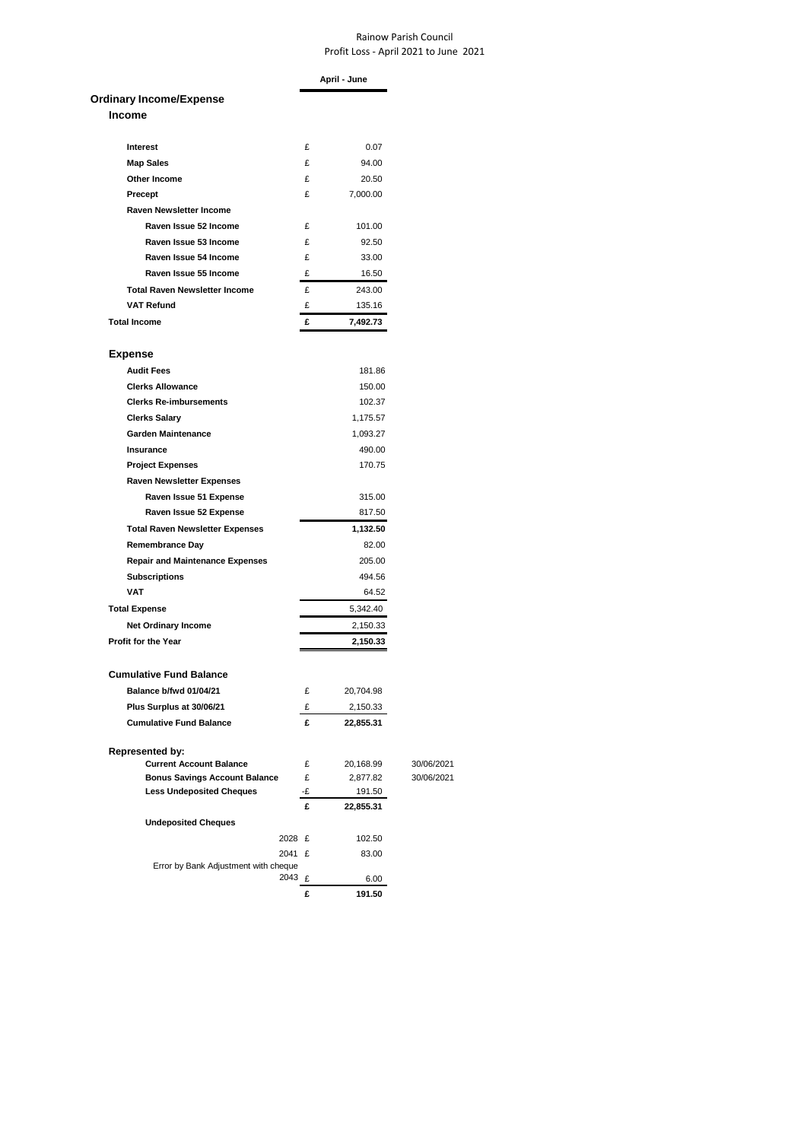## Rainow Parish Council Profit Loss - April 2021 to June 2021

|                                                          |    | April - June |            |
|----------------------------------------------------------|----|--------------|------------|
| <b>Ordinary Income/Expense</b>                           |    |              |            |
| <b>Income</b>                                            |    |              |            |
|                                                          |    |              |            |
| Interest                                                 | £  | 0.07         |            |
| <b>Map Sales</b>                                         | £  | 94.00        |            |
| Other Income                                             | £  | 20.50        |            |
| Precept                                                  | £  | 7,000.00     |            |
| <b>Raven Newsletter Income</b>                           |    |              |            |
| Raven Issue 52 Income                                    | £  | 101.00       |            |
| Raven Issue 53 Income                                    | £  | 92.50        |            |
| Raven Issue 54 Income                                    | £  | 33.00        |            |
| Raven Issue 55 Income                                    | £  | 16.50        |            |
| <b>Total Raven Newsletter Income</b>                     | £  | 243.00       |            |
| <b>VAT Refund</b>                                        | £  | 135.16       |            |
| <b>Total Income</b>                                      | £  | 7,492.73     |            |
|                                                          |    |              |            |
| <b>Expense</b>                                           |    |              |            |
| <b>Audit Fees</b>                                        |    | 181.86       |            |
| <b>Clerks Allowance</b>                                  |    | 150.00       |            |
| <b>Clerks Re-imbursements</b>                            |    | 102.37       |            |
| <b>Clerks Salary</b>                                     |    | 1,175.57     |            |
| <b>Garden Maintenance</b>                                |    | 1,093.27     |            |
| Insurance                                                |    | 490.00       |            |
| <b>Project Expenses</b>                                  |    | 170.75       |            |
| <b>Raven Newsletter Expenses</b>                         |    |              |            |
| Raven Issue 51 Expense                                   |    | 315.00       |            |
| Raven Issue 52 Expense                                   |    | 817.50       |            |
| <b>Total Raven Newsletter Expenses</b>                   |    | 1,132.50     |            |
| <b>Remembrance Day</b>                                   |    | 82.00        |            |
|                                                          |    | 205.00       |            |
| <b>Repair and Maintenance Expenses</b>                   |    | 494.56       |            |
| <b>Subscriptions</b><br><b>VAT</b>                       |    |              |            |
|                                                          |    | 64.52        |            |
| <b>Total Expense</b>                                     |    | 5,342.40     |            |
| <b>Net Ordinary Income</b>                               |    | 2,150.33     |            |
| Profit for the Year                                      |    | 2,150.33     |            |
|                                                          |    |              |            |
| <b>Cumulative Fund Balance</b>                           |    |              |            |
| Balance b/fwd 01/04/21                                   | £  | 20,704.98    |            |
| Plus Surplus at 30/06/21                                 | £  | 2,150.33     |            |
| <b>Cumulative Fund Balance</b>                           | £  | 22,855.31    |            |
|                                                          |    |              |            |
| <b>Represented by:</b><br><b>Current Account Balance</b> | £  | 20,168.99    | 30/06/2021 |
| <b>Bonus Savings Account Balance</b>                     | £  | 2,877.82     | 30/06/2021 |
| <b>Less Undeposited Cheques</b>                          | -£ | 191.50       |            |
|                                                          | £  | 22,855.31    |            |
| <b>Undeposited Cheques</b>                               |    |              |            |
| 2028 £                                                   |    | 102.50       |            |
| 2041 £                                                   |    | 83.00        |            |
| Error by Bank Adjustment with cheque                     |    |              |            |
| 2043 £                                                   |    | 6.00         |            |
|                                                          | £  | 191.50       |            |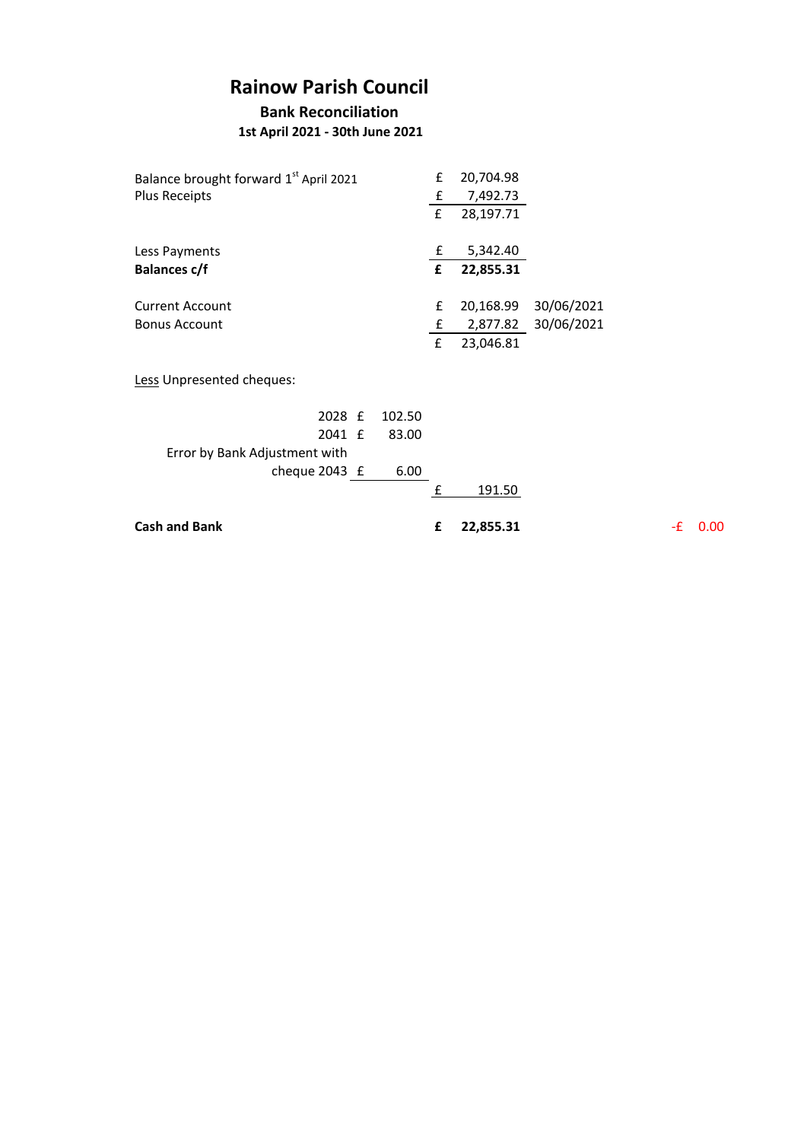## **Rainow Parish Council**

**Bank Reconciliation**

 **1st April 2021 - 30th June 2021**

| Balance brought forward 1 <sup>st</sup> April 2021 |        | £ | 20,704.98 |            |    |                   |
|----------------------------------------------------|--------|---|-----------|------------|----|-------------------|
| <b>Plus Receipts</b>                               |        | £ | 7,492.73  |            |    |                   |
|                                                    |        | £ | 28,197.71 |            |    |                   |
| Less Payments                                      |        | £ | 5,342.40  |            |    |                   |
| <b>Balances c/f</b>                                |        | £ | 22,855.31 |            |    |                   |
| <b>Current Account</b>                             |        | £ | 20,168.99 | 30/06/2021 |    |                   |
| <b>Bonus Account</b>                               |        | £ | 2,877.82  | 30/06/2021 |    |                   |
|                                                    |        | £ | 23,046.81 |            |    |                   |
| Less Unpresented cheques:                          |        |   |           |            |    |                   |
| 2028 £                                             | 102.50 |   |           |            |    |                   |
| 2041 £                                             | 83.00  |   |           |            |    |                   |
| Error by Bank Adjustment with                      |        |   |           |            |    |                   |
| cheque 2043 £                                      | 6.00   |   |           |            |    |                   |
|                                                    |        | £ | 191.50    |            |    |                   |
| <b>Cash and Bank</b>                               |        | £ | 22,855.31 |            | -£ | 0.00 <sub>1</sub> |